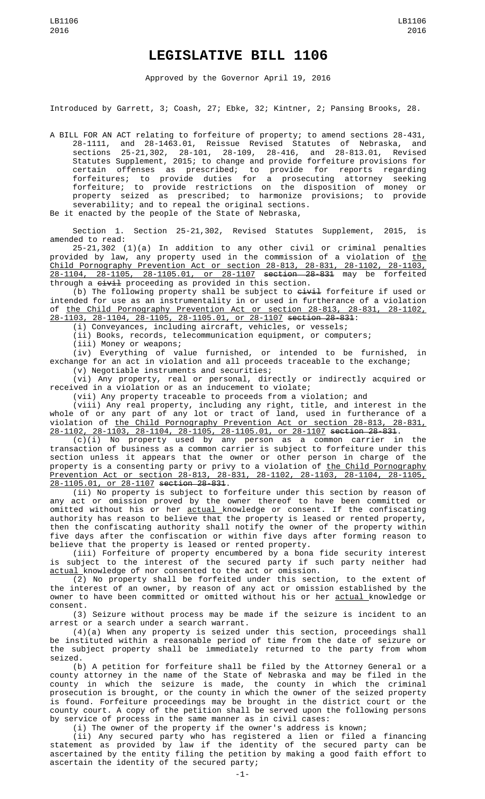## **LEGISLATIVE BILL 1106**

Approved by the Governor April 19, 2016

Introduced by Garrett, 3; Coash, 27; Ebke, 32; Kintner, 2; Pansing Brooks, 28.

A BILL FOR AN ACT relating to forfeiture of property; to amend sections 28-431, and 28-1463.01, Reissue Revised Statutes of Nebraska, sections 25-21,302, 28-101, 28-109, 28-416, and 28-813.01, Revised Statutes Supplement, 2015; to change and provide forfeiture provisions for certain offenses as prescribed; to provide for reports regarding forfeitures; to provide duties for a prosecuting attorney seeking forfeiture; to provide restrictions on the disposition of money or property seized as prescribed; to harmonize provisions; to provide severability; and to repeal the original sections.

Be it enacted by the people of the State of Nebraska,

Section 1. Section 25-21,302, Revised Statutes Supplement, 2015, is amended to read:

25-21,302 (1)(a) In addition to any other civil or criminal penalties provided by law, any property used in the commission of a violation of the Child Pornography Prevention Act or section 28-813, 28-831, 28-1102, 28-1103, 28-1104, 28-1105, 28-1105.01, or 28-1107 section 28-831 may be forfeited through a <del>civil</del> proceeding as provided in this section.

(b) The following property shall be subject to  $e^{\pm i \omega}$  forfeiture if used or intended for use as an instrumentality in or used in furtherance of a violation of the Child Pornography Prevention Act or section 28-813, 28-831, 28-1102, 28-1103, 28-1104, 28-1105, 28-1105.01, or 28-1107 section 28-831:

(i) Conveyances, including aircraft, vehicles, or vessels;

(ii) Books, records, telecommunication equipment, or computers;

(iii) Money or weapons;

(iv) Everything of value furnished, or intended to be furnished, in exchange for an act in violation and all proceeds traceable to the exchange; (v) Negotiable instruments and securities;

(vi) Any property, real or personal, directly or indirectly acquired or received in a violation or as an inducement to violate;

(vii) Any property traceable to proceeds from a violation; and

(viii) Any real property, including any right, title, and interest in the whole of or any part of any lot or tract of land, used in furtherance of a violation of the Child Pornography Prevention Act or section 28-813, 28-831, 28-1102, 28-1103, 28-1104, 28-1105, 28-1105.01, or 28-1107 section 28-831.

(c)(i) No property used by any person as a common carrier in the transaction of business as a common carrier is subject to forfeiture under this section unless it appears that the owner or other person in charge of the property is a consenting party or privy to a violation of the Child Pornography Prevention Act or section 28-813, 28-831, 28-1102, 28-1103, 28-1104, 28-1105, 28-1105.01, or 28-1107 section 28-831.

(ii) No property is subject to forfeiture under this section by reason of any act or omission proved by the owner thereof to have been committed or omitted without his or her <u>actual </u>knowledge or consent. If the confiscating authority has reason to believe that the property is leased or rented property, then the confiscating authority shall notify the owner of the property within five days after the confiscation or within five days after forming reason to believe that the property is leased or rented property.

(iii) Forfeiture of property encumbered by a bona fide security interest is subject to the interest of the secured party if such party neither had actual knowledge of nor consented to the act or omission.

(2) No property shall be forfeited under this section, to the extent of the interest of an owner, by reason of any act or omission established by the owner to have been committed or omitted without his or her <u>actual </u>knowledge or consent.

(3) Seizure without process may be made if the seizure is incident to an arrest or a search under a search warrant.

(4)(a) When any property is seized under this section, proceedings shall be instituted within a reasonable period of time from the date of seizure or the subject property shall be immediately returned to the party from whom seized.

(b) A petition for forfeiture shall be filed by the Attorney General or a county attorney in the name of the State of Nebraska and may be filed in the county in which the seizure is made, the county in which the criminal prosecution is brought, or the county in which the owner of the seized property is found. Forfeiture proceedings may be brought in the district court or the county court. A copy of the petition shall be served upon the following persons by service of process in the same manner as in civil cases:

(i) The owner of the property if the owner's address is known;

(ii) Any secured party who has registered a lien or filed a financing statement as provided by law if the identity of the secured party can be ascertained by the entity filing the petition by making a good faith effort to ascertain the identity of the secured party;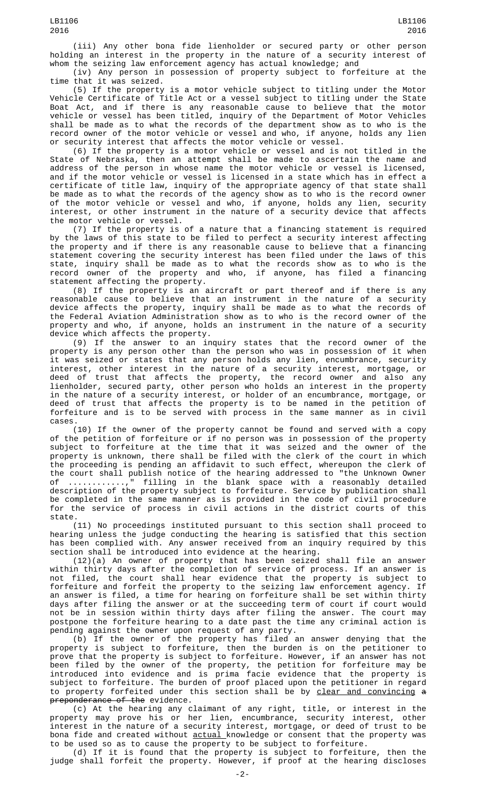(iii) Any other bona fide lienholder or secured party or other person holding an interest in the property in the nature of a security interest of whom the seizing law enforcement agency has actual knowledge; and

(iv) Any person in possession of property subject to forfeiture at the time that it was seized.

(5) If the property is a motor vehicle subject to titling under the Motor Vehicle Certificate of Title Act or a vessel subject to titling under the State Boat Act, and if there is any reasonable cause to believe that the motor vehicle or vessel has been titled, inquiry of the Department of Motor Vehicles shall be made as to what the records of the department show as to who is the record owner of the motor vehicle or vessel and who, if anyone, holds any lien or security interest that affects the motor vehicle or vessel.

(6) If the property is a motor vehicle or vessel and is not titled in the State of Nebraska, then an attempt shall be made to ascertain the name and address of the person in whose name the motor vehicle or vessel is licensed, and if the motor vehicle or vessel is licensed in a state which has in effect a certificate of title law, inquiry of the appropriate agency of that state shall be made as to what the records of the agency show as to who is the record owner of the motor vehicle or vessel and who, if anyone, holds any lien, security interest, or other instrument in the nature of a security device that affects the motor vehicle or vessel.

(7) If the property is of a nature that a financing statement is required by the laws of this state to be filed to perfect a security interest affecting the property and if there is any reasonable cause to believe that a financing statement covering the security interest has been filed under the laws of this state, inquiry shall be made as to what the records show as to who is the record owner of the property and who, if anyone, has filed a financing statement affecting the property.

(8) If the property is an aircraft or part thereof and if there is any reasonable cause to believe that an instrument in the nature of a security device affects the property, inquiry shall be made as to what the records of the Federal Aviation Administration show as to who is the record owner of the property and who, if anyone, holds an instrument in the nature of a security device which affects the property.

(9) If the answer to an inquiry states that the record owner of the property is any person other than the person who was in possession of it when it was seized or states that any person holds any lien, encumbrance, security interest, other interest in the nature of a security interest, mortgage, or deed of trust that affects the property, the record owner and also any lienholder, secured party, other person who holds an interest in the property in the nature of a security interest, or holder of an encumbrance, mortgage, or deed of trust that affects the property is to be named in the petition of forfeiture and is to be served with process in the same manner as in civil cases.

(10) If the owner of the property cannot be found and served with a copy of the petition of forfeiture or if no person was in possession of the property subject to forfeiture at the time that it was seized and the owner of the property is unknown, there shall be filed with the clerk of the court in which the proceeding is pending an affidavit to such effect, whereupon the clerk of the court shall publish notice of the hearing addressed to "the Unknown Owner of ............," filling in the blank space with a reasonably detailed description of the property subject to forfeiture. Service by publication shall be completed in the same manner as is provided in the code of civil procedure for the service of process in civil actions in the district courts of this state.

(11) No proceedings instituted pursuant to this section shall proceed to hearing unless the judge conducting the hearing is satisfied that this section has been complied with. Any answer received from an inquiry required by this section shall be introduced into evidence at the hearing.

(12)(a) An owner of property that has been seized shall file an answer within thirty days after the completion of service of process. If an answer is not filed, the court shall hear evidence that the property is subject to forfeiture and forfeit the property to the seizing law enforcement agency. If an answer is filed, a time for hearing on forfeiture shall be set within thirty days after filing the answer or at the succeeding term of court if court would not be in session within thirty days after filing the answer. The court may postpone the forfeiture hearing to a date past the time any criminal action is pending against the owner upon request of any party.

(b) If the owner of the property has filed an answer denying that the property is subject to forfeiture, then the burden is on the petitioner to prove that the property is subject to forfeiture. However, if an answer has not been filed by the owner of the property, the petition for forfeiture may be introduced into evidence and is prima facie evidence that the property is subject to forfeiture. The burden of proof placed upon the petitioner in regard to property forfeited under this section shall be by <u>clear and convincing</u>  $\mathbf a$ preponderance of the evidence.

(c) At the hearing any claimant of any right, title, or interest in the property may prove his or her lien, encumbrance, security interest, other interest in the nature of a security interest, mortgage, or deed of trust to be bona fide and created without <u>actual </u>knowledge or consent that the property was to be used so as to cause the property to be subject to forfeiture.

(d) If it is found that the property is subject to forfeiture, then the judge shall forfeit the property. However, if proof at the hearing discloses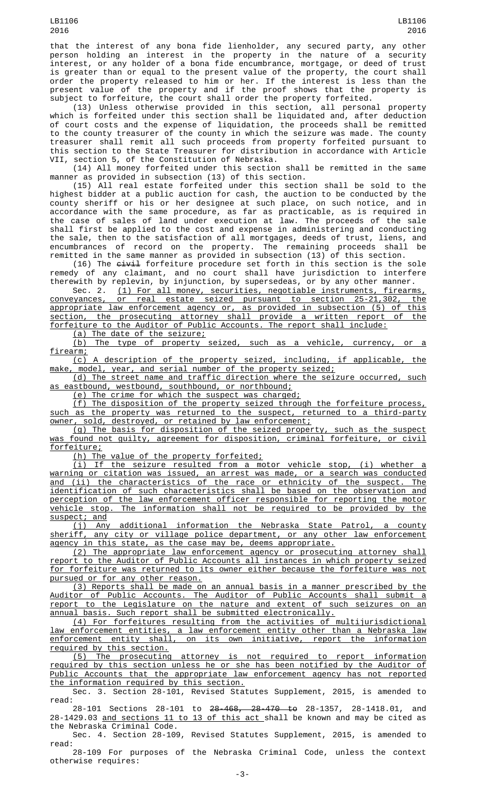that the interest of any bona fide lienholder, any secured party, any other person holding an interest in the property in the nature of a security interest, or any holder of a bona fide encumbrance, mortgage, or deed of trust is greater than or equal to the present value of the property, the court shall order the property released to him or her. If the interest is less than the present value of the property and if the proof shows that the property is subject to forfeiture, the court shall order the property forfeited.

(13) Unless otherwise provided in this section, all personal property which is forfeited under this section shall be liquidated and, after deduction of court costs and the expense of liquidation, the proceeds shall be remitted to the county treasurer of the county in which the seizure was made. The county treasurer shall remit all such proceeds from property forfeited pursuant to this section to the State Treasurer for distribution in accordance with Article VII, section 5, of the Constitution of Nebraska.

(14) All money forfeited under this section shall be remitted in the same manner as provided in subsection (13) of this section.

(15) All real estate forfeited under this section shall be sold to the highest bidder at a public auction for cash, the auction to be conducted by the county sheriff or his or her designee at such place, on such notice, and in accordance with the same procedure, as far as practicable, as is required in the case of sales of land under execution at law. The proceeds of the sale shall first be applied to the cost and expense in administering and conducting the sale, then to the satisfaction of all mortgages, deeds of trust, liens, and encumbrances of record on the property. The remaining proceeds shall be remitted in the same manner as provided in subsection (13) of this section.

(16) The <del>civil</del> forfeiture procedure set forth in this section is the sole remedy of any claimant, and no court shall have jurisdiction to interfere therewith by replevin, by injunction, by supersedeas, or by any other manner.

Sec. 2. (1) For all money, securities, negotiable instruments, firearms, conveyances, or real estate seized pursuant to section 25-21,302, the conveyances, or real estate seized pursuant to section 25-21,302, the appropriate law enforcement agency or, as provided in subsection (5) of this section, the prosecuting attorney shall provide a written report of the forfeiture to the Auditor of Public Accounts. The report shall include:

(a) The date of the seizure;

(b) The type of property seized, such as a vehicle, currency, or a firearm;

(c) A description of the property seized, including, if applicable, the make, model, year, and serial number of the property seized;

(d) The street name and traffic direction where the seizure occurred, such as eastbound, westbound, southbound, or northbound;

(e) The crime for which the suspect was charged;

(f) The disposition of the property seized through the forfeiture process, such as the property was returned to the suspect, returned to a third-party owner, sold, destroyed, or retained by law enforcement;

(g) The basis for disposition of the seized property, such as the suspect was found not guilty, agreement for disposition, criminal forfeiture, or civil forfeiture;

(h) The value of the property forfeited;

(i) If the seizure resulted from a motor vehicle stop, (i) whether a warning or citation was issued, an arrest was made, or a search was conducted and (ii) the characteristics of the race or ethnicity of the suspect. The identification of such characteristics shall be based on the observation and perception of the law enforcement officer responsible for reporting the motor vehicle stop. The information shall not be required to be provided by the suspect; and

(j) Any additional information the Nebraska State Patrol, a county sheriff, any city or village police department, or any other law enforcement agency in this state, as the case may be, deems appropriate.

(2) The appropriate law enforcement agency or prosecuting attorney shall report to the Auditor of Public Accounts all instances in which property seized for forfeiture was returned to its owner either because the forfeiture was not pursued or for any other reason.

(3) Reports shall be made on an annual basis in a manner prescribed by the Auditor of Public Accounts. The Auditor of Public Accounts shall submit a report to the Legislature on the nature and extent of such seizures on an annual basis. Such report shall be submitted electronically.

(4) For forfeitures resulting from the activities of multijurisdictional law enforcement entities, a law enforcement entity other than a Nebraska law enforcement entity shall, on its own initiative, report the information required by this section.

(5) The prosecuting attorney is not required to report information required by this section unless he or she has been notified by the Auditor of Public Accounts that the appropriate law enforcement agency has not reported the information required by this section.

Sec. 3. Section 28-101, Revised Statutes Supplement, 2015, is amended to read:

28-101 Sections 28-101 to 28-468, 28-470 to 28-1357, 28-1418.01, and 28-1429.03 <u>and sections 11 to 13 of this act s</u>hall be known and may be cited as the Nebraska Criminal Code.

Sec. 4. Section 28-109, Revised Statutes Supplement, 2015, is amended to read:

28-109 For purposes of the Nebraska Criminal Code, unless the context otherwise requires: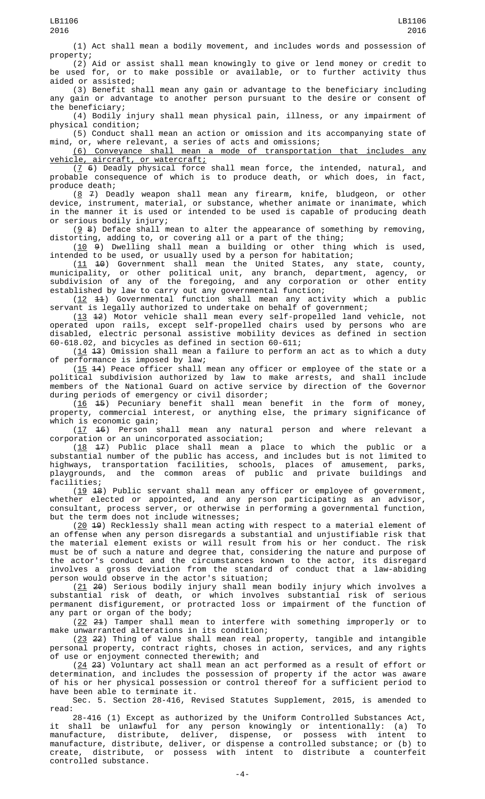(1) Act shall mean a bodily movement, and includes words and possession of property;

(2) Aid or assist shall mean knowingly to give or lend money or credit to be used for, or to make possible or available, or to further activity thus aided or assisted;

(3) Benefit shall mean any gain or advantage to the beneficiary including any gain or advantage to another person pursuant to the desire or consent of the beneficiary;

(4) Bodily injury shall mean physical pain, illness, or any impairment of physical condition;

(5) Conduct shall mean an action or omission and its accompanying state of mind, or, where relevant, a series of acts and omissions;

(6) Conveyance shall mean a mode of transportation that includes any vehicle, aircraft, or watercraft;

 $(7, 6)$  Deadly physical force shall mean force, the intended, natural, and probable consequence of which is to produce death, or which does, in fact, produce death;

 $(8 \t 7)$  Deadly weapon shall mean any firearm, knife, bludgeon, or other device, instrument, material, or substance, whether animate or inanimate, which in the manner it is used or intended to be used is capable of producing death or serious bodily injury;

 $(9, 8)$  Deface shall mean to alter the appearance of something by removing, distorting, adding to, or covering all or a part of the thing;

 $(10 \theta)$  Dwelling shall mean a building or other thing which is used, intended to be used, or usually used by a person for habitation;

 $(11 \t 10)$  Government shall mean the United States, any state, county, municipality, or other political unit, any branch, department, agency, or subdivision of any of the foregoing, and any corporation or other entity established by law to carry out any governmental function;

 $(12 \t 11)$  Governmental function shall mean any activity which a public servant is legally authorized to undertake on behalf of government;

(13 12) Motor vehicle shall mean every self-propelled land vehicle, not operated upon rails, except self-propelled chairs used by persons who are disabled, electric personal assistive mobility devices as defined in section 60-618.02, and bicycles as defined in section 60-611;

 $(14 \t3)$  Omission shall mean a failure to perform an act as to which a duty of performance is imposed by law;

(15 44) Peace officer shall mean any officer or employee of the state or a political subdivision authorized by law to make arrests, and shall include members of the National Guard on active service by direction of the Governor during periods of emergency or civil disorder;

 $(16 \t 15)$  Pecuniary benefit shall mean benefit in the form of money, property, commercial interest, or anything else, the primary significance of which is economic gain;

(17 16) Person shall mean any natural person and where relevant a corporation or an unincorporated association;

(18 17) Public place shall mean a place to which the public or a substantial number of the public has access, and includes but is not limited to highways, transportation facilities, schools, places of amusement, parks, playgrounds, and the common areas of public and private buildings and facilities;

(19 18) Public servant shall mean any officer or employee of government, whether elected or appointed, and any person participating as an advisor, consultant, process server, or otherwise in performing a governmental function, but the term does not include witnesses;

 $(20 \t49)$  Recklessly shall mean acting with respect to a material element of an offense when any person disregards a substantial and unjustifiable risk that the material element exists or will result from his or her conduct. The risk must be of such a nature and degree that, considering the nature and purpose of the actor's conduct and the circumstances known to the actor, its disregard involves a gross deviation from the standard of conduct that a law-abiding person would observe in the actor's situation;

(21 20) Serious bodily injury shall mean bodily injury which involves a substantial risk of death, or which involves substantial risk of serious permanent disfigurement, or protracted loss or impairment of the function of any part or organ of the body;

(22 21) Tamper shall mean to interfere with something improperly or to make unwarranted alterations in its condition;

(23 22) Thing of value shall mean real property, tangible and intangible personal property, contract rights, choses in action, services, and any rights of use or enjoyment connected therewith; and

(24 23) Voluntary act shall mean an act performed as a result of effort or determination, and includes the possession of property if the actor was aware of his or her physical possession or control thereof for a sufficient period to have been able to terminate it.

Sec. 5. Section 28-416, Revised Statutes Supplement, 2015, is amended to read:

28-416 (1) Except as authorized by the Uniform Controlled Substances Act, it shall be unlawful for any person knowingly or intentionally: (a) To manufacture, distribute, deliver, dispense, or possess with intent to manufacture, distribute, deliver, or dispense a controlled substance; or (b) to create, distribute, or possess with intent to distribute a counterfeit controlled substance.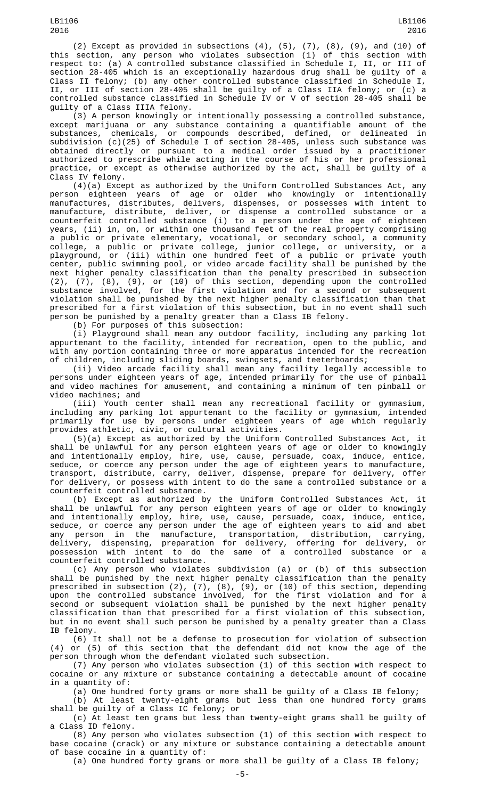(2) Except as provided in subsections  $(4)$ ,  $(5)$ ,  $(7)$ ,  $(8)$ ,  $(9)$ , and  $(10)$  of this section, any person who violates subsection (1) of this section with respect to: (a) A controlled substance classified in Schedule I, II, or III of section 28-405 which is an exceptionally hazardous drug shall be guilty of a Class II felony; (b) any other controlled substance classified in Schedule I, II, or III of section 28-405 shall be guilty of a Class IIA felony; or (c) a controlled substance classified in Schedule IV or V of section 28-405 shall be guilty of a Class IIIA felony.

(3) A person knowingly or intentionally possessing a controlled substance, except marijuana or any substance containing a quantifiable amount of the substances, chemicals, or compounds described, defined, or delineated in subdivision (c)(25) of Schedule I of section 28-405, unless such substance was obtained directly or pursuant to a medical order issued by a practitioner authorized to prescribe while acting in the course of his or her professional practice, or except as otherwise authorized by the act, shall be guilty of a Class IV felony.

(4)(a) Except as authorized by the Uniform Controlled Substances Act, any person eighteen years of age or older who knowingly or intentionally manufactures, distributes, delivers, dispenses, or possesses with intent to manufacture, distribute, deliver, or dispense a controlled substance or a counterfeit controlled substance (i) to a person under the age of eighteen years, (ii) in, on, or within one thousand feet of the real property comprising a public or private elementary, vocational, or secondary school, a community college, a public or private college, junior college, or university, or a playground, or (iii) within one hundred feet of a public or private youth center, public swimming pool, or video arcade facility shall be punished by the next higher penalty classification than the penalty prescribed in subsection (2), (7), (8), (9), or (10) of this section, depending upon the controlled substance involved, for the first violation and for a second or subsequent violation shall be punished by the next higher penalty classification than that prescribed for a first violation of this subsection, but in no event shall such person be punished by a penalty greater than a Class IB felony.

(b) For purposes of this subsection:

(i) Playground shall mean any outdoor facility, including any parking lot appurtenant to the facility, intended for recreation, open to the public, and with any portion containing three or more apparatus intended for the recreation of children, including sliding boards, swingsets, and teeterboards;

(ii) Video arcade facility shall mean any facility legally accessible to persons under eighteen years of age, intended primarily for the use of pinball and video machines for amusement, and containing a minimum of ten pinball or video machines; and

(iii) Youth center shall mean any recreational facility or gymnasium, including any parking lot appurtenant to the facility or gymnasium, intended primarily for use by persons under eighteen years of age which regularly provides athletic, civic, or cultural activities.

(5)(a) Except as authorized by the Uniform Controlled Substances Act, it shall be unlawful for any person eighteen years of age or older to knowingly and intentionally employ, hire, use, cause, persuade, coax, induce, entice, seduce, or coerce any person under the age of eighteen years to manufacture, transport, distribute, carry, deliver, dispense, prepare for delivery, offer for delivery, or possess with intent to do the same a controlled substance or a counterfeit controlled substance.

(b) Except as authorized by the Uniform Controlled Substances Act, it shall be unlawful for any person eighteen years of age or older to knowingly and intentionally employ, hire, use, cause, persuade, coax, induce, entice, seduce, or coerce any person under the age of eighteen years to aid and abet any person in the manufacture, transportation, distribution, carrying, delivery, dispensing, preparation for delivery, offering for delivery, or possession with intent to do the same of a controlled substance or a counterfeit controlled substance.

(c) Any person who violates subdivision (a) or (b) of this subsection shall be punished by the next higher penalty classification than the penalty prescribed in subsection (2), (7), (8), (9), or (10) of this section, depending upon the controlled substance involved, for the first violation and for a second or subsequent violation shall be punished by the next higher penalty classification than that prescribed for a first violation of this subsection, but in no event shall such person be punished by a penalty greater than a Class IB felony.

(6) It shall not be a defense to prosecution for violation of subsection (4) or (5) of this section that the defendant did not know the age of the person through whom the defendant violated such subsection.

(7) Any person who violates subsection (1) of this section with respect to cocaine or any mixture or substance containing a detectable amount of cocaine in a quantity of:

(a) One hundred forty grams or more shall be guilty of a Class IB felony;

(b) At least twenty-eight grams but less than one hundred forty grams shall be guilty of a Class IC felony; or

(c) At least ten grams but less than twenty-eight grams shall be guilty of a Class ID felony.

(8) Any person who violates subsection (1) of this section with respect to base cocaine (crack) or any mixture or substance containing a detectable amount of base cocaine in a quantity of:

(a) One hundred forty grams or more shall be guilty of a Class IB felony;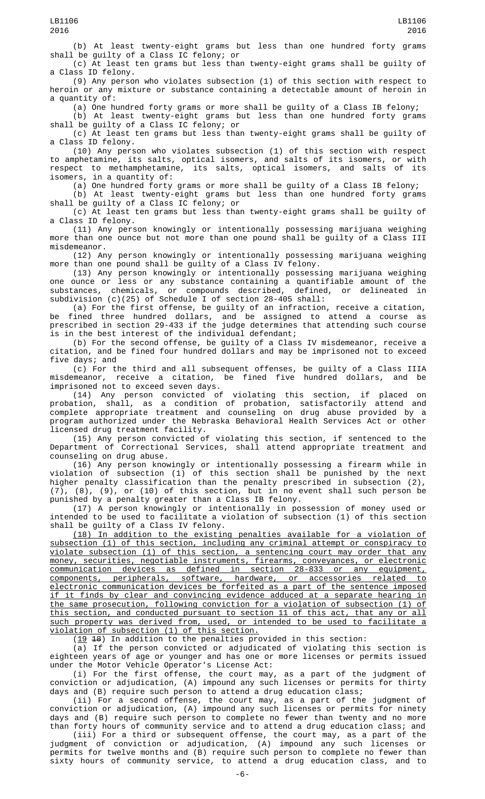(b) At least twenty-eight grams but less than one hundred forty grams shall be guilty of a Class IC felony; or

(c) At least ten grams but less than twenty-eight grams shall be guilty of a Class ID felony.

(9) Any person who violates subsection (1) of this section with respect to heroin or any mixture or substance containing a detectable amount of heroin in a quantity of:

(a) One hundred forty grams or more shall be guilty of a Class IB felony;

(b) At least twenty-eight grams but less than one hundred forty grams shall be guilty of a Class IC felony; or

(c) At least ten grams but less than twenty-eight grams shall be guilty of a Class ID felony.

(10) Any person who violates subsection (1) of this section with respect to amphetamine, its salts, optical isomers, and salts of its isomers, or with respect to methamphetamine, its salts, optical isomers, and salts of its isomers, in a quantity of:

(a) One hundred forty grams or more shall be guilty of a Class IB felony;

(b) At least twenty-eight grams but less than one hundred forty grams shall be guilty of a Class IC felony; or

(c) At least ten grams but less than twenty-eight grams shall be guilty of a Class ID felony.

(11) Any person knowingly or intentionally possessing marijuana weighing more than one ounce but not more than one pound shall be guilty of a Class III misdemeanor.

(12) Any person knowingly or intentionally possessing marijuana weighing more than one pound shall be guilty of a Class IV felony.

(13) Any person knowingly or intentionally possessing marijuana weighing one ounce or less or any substance containing a quantifiable amount of the substances, chemicals, or compounds described, defined, or delineated in subdivision (c)(25) of Schedule I of section 28-405 shall:

(a) For the first offense, be guilty of an infraction, receive a citation, be fined three hundred dollars, and be assigned to attend a course as prescribed in section 29-433 if the judge determines that attending such course is in the best interest of the individual defendant;

(b) For the second offense, be guilty of a Class IV misdemeanor, receive a citation, and be fined four hundred dollars and may be imprisoned not to exceed five days; and

(c) For the third and all subsequent offenses, be guilty of a Class IIIA misdemeanor, receive a citation, be fined five hundred dollars, and be imprisoned not to exceed seven days.

(14) Any person convicted of violating this section, if placed on probation, shall, as a condition of probation, satisfactorily attend and complete appropriate treatment and counseling on drug abuse provided by a program authorized under the Nebraska Behavioral Health Services Act or other licensed drug treatment facility.

(15) Any person convicted of violating this section, if sentenced to the Department of Correctional Services, shall attend appropriate treatment and counseling on drug abuse.

(16) Any person knowingly or intentionally possessing a firearm while in violation of subsection (1) of this section shall be punished by the next higher penalty classification than the penalty prescribed in subsection (2), (7), (8), (9), or (10) of this section, but in no event shall such person be punished by a penalty greater than a Class IB felony.

(17) A person knowingly or intentionally in possession of money used or intended to be used to facilitate a violation of subsection (1) of this section shall be guilty of a Class IV felony.

(18) In addition to the existing penalties available for a violation of subsection (1) of this section, including any criminal attempt or conspiracy to violate subsection (1) of this section, a sentencing court may order that any money, securities, negotiable instruments, firearms, conveyances, or electronic communication devices as defined in section 28-833 or any equipment, components, peripherals, software, hardware, or accessories related to electronic communication devices be forfeited as a part of the sentence imposed if it finds by clear and convincing evidence adduced at a separate hearing in the same prosecution, following conviction for a violation of subsection (1) of this section, and conducted pursuant to section 11 of this act, that any or all such property was derived from, used, or intended to be used to facilitate a violation of subsection (1) of this section.

(19 18) In addition to the penalties provided in this section:

 $\overline{a}$ ) If the person convicted or adjudicated of violating this section is eighteen years of age or younger and has one or more licenses or permits issued under the Motor Vehicle Operator's License Act:

(i) For the first offense, the court may, as a part of the judgment of conviction or adjudication, (A) impound any such licenses or permits for thirty days and (B) require such person to attend a drug education class;

(ii) For a second offense, the court may, as a part of the judgment of conviction or adjudication, (A) impound any such licenses or permits for ninety days and (B) require such person to complete no fewer than twenty and no more than forty hours of community service and to attend a drug education class; and (iii) For a third or subsequent offense, the court may, as a part of the judgment of conviction or adjudication, (A) impound any such licenses or permits for twelve months and (B) require such person to complete no fewer than sixty hours of community service, to attend a drug education class, and to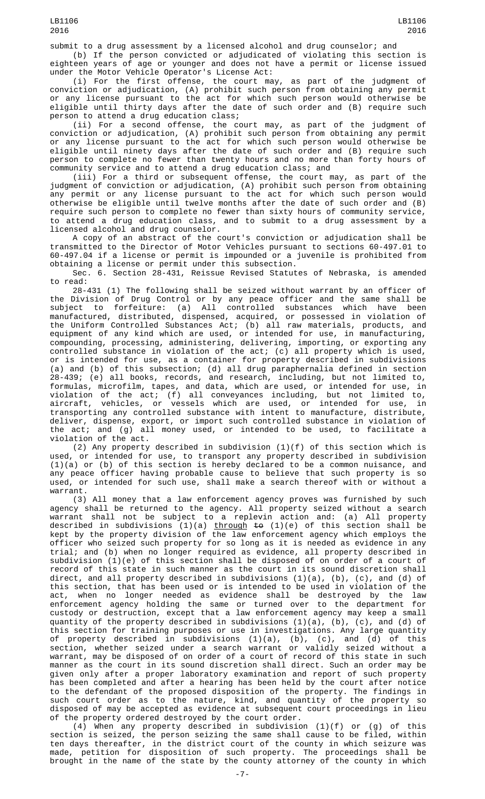submit to a drug assessment by a licensed alcohol and drug counselor; and

(b) If the person convicted or adjudicated of violating this section is eighteen years of age or younger and does not have a permit or license issued under the Motor Vehicle Operator's License Act:

(i) For the first offense, the court may, as part of the judgment of conviction or adjudication, (A) prohibit such person from obtaining any permit or any license pursuant to the act for which such person would otherwise be eligible until thirty days after the date of such order and (B) require such person to attend a drug education class;

(ii) For a second offense, the court may, as part of the judgment of conviction or adjudication, (A) prohibit such person from obtaining any permit or any license pursuant to the act for which such person would otherwise be eligible until ninety days after the date of such order and (B) require such person to complete no fewer than twenty hours and no more than forty hours of community service and to attend a drug education class; and

(iii) For a third or subsequent offense, the court may, as part of the judgment of conviction or adjudication, (A) prohibit such person from obtaining any permit or any license pursuant to the act for which such person would otherwise be eligible until twelve months after the date of such order and (B) require such person to complete no fewer than sixty hours of community service, to attend a drug education class, and to submit to a drug assessment by a licensed alcohol and drug counselor.

A copy of an abstract of the court's conviction or adjudication shall be transmitted to the Director of Motor Vehicles pursuant to sections 60-497.01 to 60-497.04 if a license or permit is impounded or a juvenile is prohibited from obtaining a license or permit under this subsection.

Sec. 6. Section 28-431, Reissue Revised Statutes of Nebraska, is amended to read:

28-431 (1) The following shall be seized without warrant by an officer of the Division of Drug Control or by any peace officer and the same shall be subject to forfeiture: (a) All controlled substances which have been manufactured, distributed, dispensed, acquired, or possessed in violation of the Uniform Controlled Substances Act; (b) all raw materials, products, and equipment of any kind which are used, or intended for use, in manufacturing, compounding, processing, administering, delivering, importing, or exporting any controlled substance in violation of the act; (c) all property which is used, or is intended for use, as a container for property described in subdivisions (a) and (b) of this subsection; (d) all drug paraphernalia defined in section 28-439; (e) all books, records, and research, including, but not limited to, formulas, microfilm, tapes, and data, which are used, or intended for use, in violation of the act; (f) all conveyances including, but not limited to, aircraft, vehicles, or vessels which are used, or intended for use, in transporting any controlled substance with intent to manufacture, distribute, deliver, dispense, export, or import such controlled substance in violation of the act; and (g) all money used, or intended to be used, to facilitate a violation of the act.

(2) Any property described in subdivision (1)(f) of this section which is used, or intended for use, to transport any property described in subdivision  $(1)(a)$  or (b) of this section is hereby declared to be a common nuisance, and any peace officer having probable cause to believe that such property is so used, or intended for such use, shall make a search thereof with or without a warrant.

(3) All money that a law enforcement agency proves was furnished by such agency shall be returned to the agency. All property seized without a search warrant shall not be subject to a replevin action and: (a) All property described in subdivisions (1)(a) <u>through</u> <del>to</del> (1)(e) of this section shall be kept by the property division of the law enforcement agency which employs the officer who seized such property for so long as it is needed as evidence in any trial; and (b) when no longer required as evidence, all property described in subdivision (1)(e) of this section shall be disposed of on order of a court of record of this state in such manner as the court in its sound discretion shall direct, and all property described in subdivisions (1)(a), (b), (c), and (d) of this section, that has been used or is intended to be used in violation of the act, when no longer needed as evidence shall be destroyed by the law enforcement agency holding the same or turned over to the department for custody or destruction, except that a law enforcement agency may keep a small quantity of the property described in subdivisions (1)(a), (b), (c), and (d) of this section for training purposes or use in investigations. Any large quantity of property described in subdivisions (1)(a), (b), (c), and (d) of this section, whether seized under a search warrant or validly seized without a warrant, may be disposed of on order of a court of record of this state in such manner as the court in its sound discretion shall direct. Such an order may be given only after a proper laboratory examination and report of such property has been completed and after a hearing has been held by the court after notice to the defendant of the proposed disposition of the property. The findings in such court order as to the nature, kind, and quantity of the property so disposed of may be accepted as evidence at subsequent court proceedings in lieu of the property ordered destroyed by the court order.

(4) When any property described in subdivision (1)(f) or (g) of this section is seized, the person seizing the same shall cause to be filed, within ten days thereafter, in the district court of the county in which seizure was made, petition for disposition of such property. The proceedings shall be brought in the name of the state by the county attorney of the county in which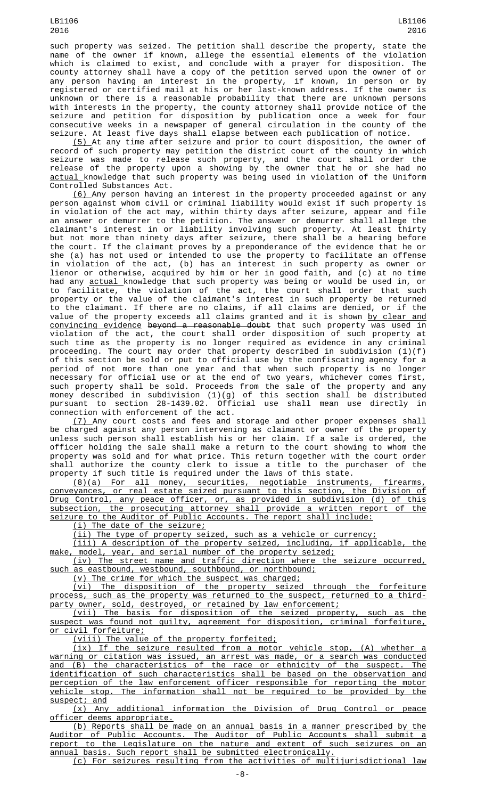such property was seized. The petition shall describe the property, state the name of the owner if known, allege the essential elements of the violation which is claimed to exist, and conclude with a prayer for disposition. The county attorney shall have a copy of the petition served upon the owner of or any person having an interest in the property, if known, in person or by registered or certified mail at his or her last-known address. If the owner is unknown or there is a reasonable probability that there are unknown persons with interests in the property, the county attorney shall provide notice of the seizure and petition for disposition by publication once a week for four consecutive weeks in a newspaper of general circulation in the county of the seizure. At least five days shall elapse between each publication of notice.

(5) At any time after seizure and prior to court disposition, the owner of record of such property may petition the district court of the county in which seizure was made to release such property, and the court shall order the release of the property upon a showing by the owner that he or she had no actual knowledge that such property was being used in violation of the Uniform Controlled Substances Act.

(6) Any person having an interest in the property proceeded against or any person against whom civil or criminal liability would exist if such property is in violation of the act may, within thirty days after seizure, appear and file an answer or demurrer to the petition. The answer or demurrer shall allege the claimant's interest in or liability involving such property. At least thirty but not more than ninety days after seizure, there shall be a hearing before the court. If the claimant proves by a preponderance of the evidence that he or she (a) has not used or intended to use the property to facilitate an offense in violation of the act, (b) has an interest in such property as owner or lienor or otherwise, acquired by him or her in good faith, and (c) at no time had any <u>actual </u>knowledge that such property was being or would be used in, or to facilitate, the violation of the act, the court shall order that such property or the value of the claimant's interest in such property be returned to the claimant. If there are no claims, if all claims are denied, or if the value of the property exceeds all claims granted and it is shown <u>by clear and</u> convincing evidence beyond a reasonable doubt that such property was used in violation of the act, the court shall order disposition of such property at such time as the property is no longer required as evidence in any criminal proceeding. The court may order that property described in subdivision (1)(f) of this section be sold or put to official use by the confiscating agency for a period of not more than one year and that when such property is no longer necessary for official use or at the end of two years, whichever comes first, such property shall be sold. Proceeds from the sale of the property and any money described in subdivision (1)(g) of this section shall be distributed pursuant to section 28-1439.02. Official use shall mean use directly in connection with enforcement of the act.

(7) Any court costs and fees and storage and other proper expenses shall be charged against any person intervening as claimant or owner of the property unless such person shall establish his or her claim. If a sale is ordered, the officer holding the sale shall make a return to the court showing to whom the property was sold and for what price. This return together with the court order shall authorize the county clerk to issue a title to the purchaser of the property if such title is required under the laws of this state.

(8)(a) For all money, securities, negotiable instruments, firearms, conveyances, or real estate seized pursuant to this section, the Division of Drug Control, any peace officer, or, as provided in subdivision (d) of this subsection, the prosecuting attorney shall provide a written report of the seizure to the Auditor of Public Accounts. The report shall include:

(i) The date of the seizure;

(ii) The type of property seized, such as a vehicle or currency;

(iii) A description of the property seized, including, if applicable, the make, model, year, and serial number of the property seized;

(iv) The street name and traffic direction where the seizure occurred, such as eastbound, westbound, southbound, or northbound;

(v) The crime for which the suspect was charged;

(vi) The disposition of the property seized through the forfeiture process, such as the property was returned to the suspect, returned to a thirdparty owner, sold, destroyed, or retained by law enforcement;

(vii) The basis for disposition of the seized property, such as the suspect was found not guilty, agreement for disposition, criminal forfeiture, or civil forfeiture;

(viii) The value of the property forfeited;

(ix) If the seizure resulted from a motor vehicle stop, (A) whether a warning or citation was issued, an arrest was made, or a search was conducted and (B) the characteristics of the race or ethnicity of the suspect. The identification of such characteristics shall be based on the observation and perception of the law enforcement officer responsible for reporting the motor vehicle stop. The information shall not be required to be provided by the suspect; and

(x) Any additional information the Division of Drug Control or peace <u>officer deems appropriate.</u>

(b) Reports shall be made on an annual basis in a manner prescribed by the Auditor of Public Accounts. The Auditor of Public Accounts shall submit a report to the Legislature on the nature and extent of such seizures on an annual basis. Such report shall be submitted electronically.

(c) For seizures resulting from the activities of multijurisdictional law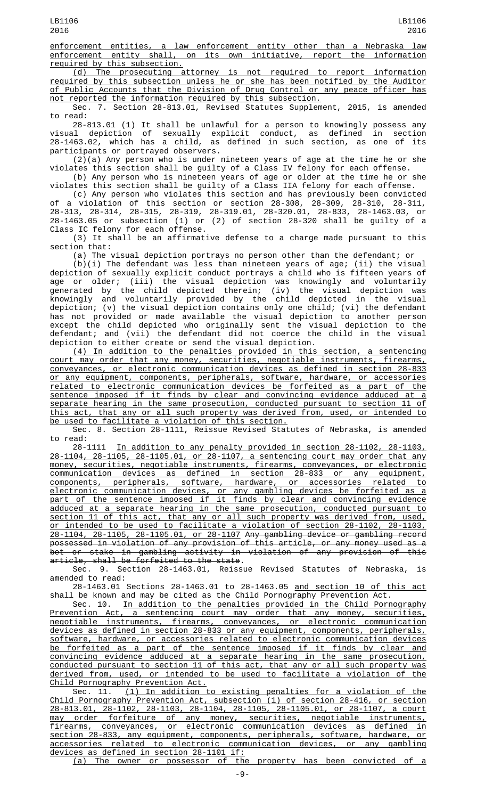enforcement entities, a law enforcement entity other than a Nebraska law enforcement entity shall, on its own initiative, report the information required by this subsection.

(d) The prosecuting attorney is not required to report information required by this subsection unless he or she has been notified by the Auditor of Public Accounts that the Division of Drug Control or any peace officer has not reported the information required by this subsection.

Sec. 7. Section 28-813.01, Revised Statutes Supplement, 2015, is amended to read:

28-813.01 (1) It shall be unlawful for a person to knowingly possess any visual depiction of sexually explicit conduct, as defined in section 28-1463.02, which has a child, as defined in such section, as one of its participants or portrayed observers.

(2)(a) Any person who is under nineteen years of age at the time he or she violates this section shall be guilty of a Class IV felony for each offense.

(b) Any person who is nineteen years of age or older at the time he or she violates this section shall be guilty of a Class IIA felony for each offense.

(c) Any person who violates this section and has previously been convicted of a violation of this section or section 28-308, 28-309, 28-310, 28-311, 28-313, 28-314, 28-315, 28-319, 28-319.01, 28-320.01, 28-833, 28-1463.03, or 28-1463.05 or subsection (1) or (2) of section 28-320 shall be guilty of a Class IC felony for each offense.

(3) It shall be an affirmative defense to a charge made pursuant to this section that:

(a) The visual depiction portrays no person other than the defendant; or (b)(i) The defendant was less than nineteen years of age; (ii) the visual depiction of sexually explicit conduct portrays a child who is fifteen years of

age or older; (iii) the visual depiction was knowingly and voluntarily generated by the child depicted therein; (iv) the visual depiction was knowingly and voluntarily provided by the child depicted in the visual depiction; (v) the visual depiction contains only one child; (vi) the defendant has not provided or made available the visual depiction to another person except the child depicted who originally sent the visual depiction to the defendant; and (vii) the defendant did not coerce the child in the visual depiction to either create or send the visual depiction.

(4) In addition to the penalties provided in this section, a sentencing court may order that any money, securities, negotiable instruments, firearms, conveyances, or electronic communication devices as defined in section 28-833 or any equipment, components, peripherals, software, hardware, or accessories related to electronic communication devices be forfeited as a part of the sentence imposed if it finds by clear and convincing evidence adduced at a separate hearing in the same prosecution, conducted pursuant to section 11 of this act, that any or all such property was derived from, used, or intended to be used to facilitate a violation of this section.

Sec. 8. Section 28-1111, Reissue Revised Statutes of Nebraska, is amended to read:

28-1111 In addition to any penalty provided in section 28-1102, 28-1103, 28-1104, 28-1105, 28-1105.01, or 28-1107, a sentencing court may order that any money, securities, negotiable instruments, firearms, conveyances, or electronic communication devices as defined in section 28-833 or any equipment, components, peripherals, software, hardware, or accessories related to electronic communication devices, or any gambling devices be forfeited as a part of the sentence imposed if it finds by clear and convincing evidence adduced at a separate hearing in the same prosecution, conducted pursuant to section 11 of this act, that any or all such property was derived from, used, or intended to be used to facilitate a violation of section 28-1102, 28-1103, 28-1104, 28-1105, 28-1105.01, or 28-1107 Any gambling device or gambling record possessed in violation of any provision of this article, or any money used as a bet or stake in gambling activity in violation of any provision of this article, shall be forfeited to the state.

Sec. 9. Section 28-1463.01, Reissue Revised Statutes of Nebraska, is amended to read:

28-1463.01 Sections 28-1463.01 to 28-1463.05 and section 10 of this act shall be known and may be cited as the Child Pornography Prevention Act.

Sec. 10. In addition to the penalties provided in the Child Pornography Prevention Act, a sentencing court may order that any money, securities, negotiable instruments, firearms, conveyances, or electronic communication devices as defined in section 28-833 or any equipment, components, peripherals, software, hardware, or accessories related to electronic communication devices be forfeited as a part of the sentence imposed if it finds by clear and convincing evidence adduced at a separate hearing in the same prosecution, conducted pursuant to section 11 of this act, that any or all such property was derived from, used, or intended to be used to facilitate a violation of the Child Pornography Prevention Act.

Sec. 11.  $(1)$  In addition to existing penalties for a violation of the Child Pornography Prevention Act, subsection (1) of section 28-416, or section 28-813.01, 28-1102, 28-1103, 28-1104, 28-1105, 28-1105.01, or 28-1107, a court may order forfeiture of any money, securities, negotiable instruments, firearms, conveyances, or electronic communication devices as defined in section 28-833, any equipment, components, peripherals, software, hardware, or accessories related to electronic communication devices, or any gambling devices as defined in section 28-1101 if:

(a) The owner or possessor of the property has been convicted of a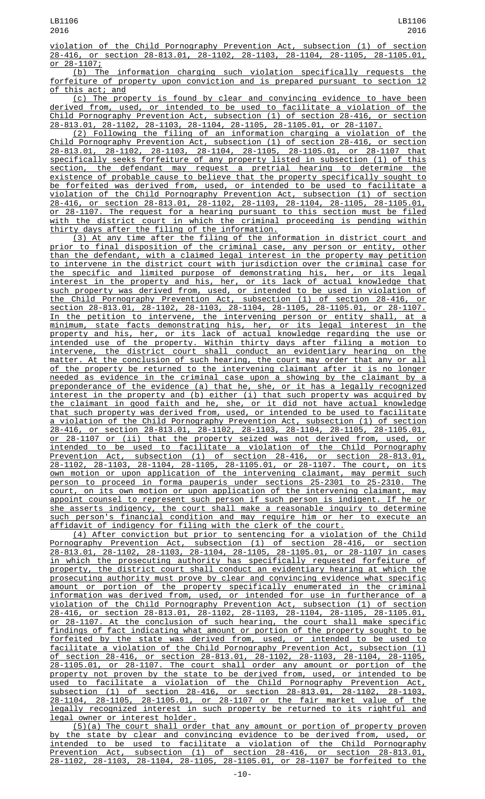violation of the Child Pornography Prevention Act, subsection (1) of section 28-416, or section 28-813.01, 28-1102, 28-1103, 28-1104, 28-1105, 28-1105.01,  $\frac{28-1107}{b}$ , The

information charging such violation specifically requests the forfeiture of property upon conviction and is prepared pursuant to section 12 of this act; and

(c) The property is found by clear and convincing evidence to have been derived from, used, or intended to be used to facilitate a violation of the Child Pornography Prevention Act, subsection (1) of section 28-416, or section 28-813.01, 28-1102, 28-1103, 28-1104, 28-1105, 28-1105.01, or 28-1107.

(2) Following the filing of an information charging a violation of the Child Pornography Prevention Act, subsection (1) of section 28-416, or section 28-813.01, 28-1102, 28-1103, 28-1104, 28-1105, 28-1105.01, or 28-1107 that specifically seeks forfeiture of any property listed in subsection (1) of this section, the defendant may request a pretrial hearing to determine the existence of probable cause to believe that the property specifically sought to be forfeited was derived from, used, or intended to be used to facilitate a violation of the Child Pornography Prevention Act, subsection (1) of section 28-416, or section 28-813.01, 28-1102, 28-1103, 28-1104, 28-1105, 28-1105.01, or 28-1107. The request for a hearing pursuant to this section must be filed with the district court in which the criminal proceeding is pending within thirty days after the filing of the information.

(3) At any time after the filing of the information in district court and prior to final disposition of the criminal case, any person or entity, other than the defendant, with a claimed legal interest in the property may petition to intervene in the district court with jurisdiction over the criminal case for the specific and limited purpose of demonstrating his, her, or its legal interest in the property and his, her, or its lack of actual knowledge that such property was derived from, used, or intended to be used in violation of the Child Pornography Prevention Act, subsection (1) of section 28-416, or section 28-813.01, 28-1102, 28-1103, 28-1104, 28-1105, 28-1105.01, or 28-1107. In the petition to intervene, the intervening person or entity shall, at a minimum, state facts demonstrating his, her, or its legal interest in the property and his, her, or its lack of actual knowledge regarding the use or intended use of the property. Within thirty days after filing a motion to intervene, the district court shall conduct an evidentiary hearing on the matter. At the conclusion of such hearing, the court may order that any or all of the property be returned to the intervening claimant after it is no longer needed as evidence in the criminal case upon a showing by the claimant by a preponderance of the evidence (a) that he, she, or it has a legally recognized interest in the property and (b) either (i) that such property was acquired by the claimant in good faith and he, she, or it did not have actual knowledge that such property was derived from, used, or intended to be used to facilitate a violation of the Child Pornography Prevention Act, subsection (1) of section 28-416, or section 28-813.01, 28-1102, 28-1103, 28-1104, 28-1105, 28-1105.01, or 28-1107 or (ii) that the property seized was not derived from, used, or intended to be used to facilitate a violation of the Child Pornography Prevention Act, subsection (1) of section 28-416, or section 28-813.01, 28-1102, 28-1103, 28-1104, 28-1105, 28-1105.01, or 28-1107. The court, on its own motion or upon application of the intervening claimant, may permit such person to proceed in forma pauperis under sections 25-2301 to 25-2310. The court, on its own motion or upon application of the intervening claimant, may appoint counsel to represent such person if such person is indigent. If he or she asserts indigency, the court shall make a reasonable inquiry to determine such person's financial condition and may require him or her to execute an affidavit of indigency for filing with the clerk of the court.

(4) After conviction but prior to sentencing for a violation of the Child Pornography Prevention Act, subsection (1) of section 28-416, or section 28-813.01, 28-1102, 28-1103, 28-1104, 28-1105, 28-1105.01, or 28-1107 in cases in which the prosecuting authority has specifically requested forfeiture of property, the district court shall conduct an evidentiary hearing at which the prosecuting authority must prove by clear and convincing evidence what specific amount or portion of the property specifically enumerated in the criminal information was derived from, used, or intended for use in furtherance of a violation of the Child Pornography Prevention Act, subsection (1) of section 28-416, or section 28-813.01, 28-1102, 28-1103, 28-1104, 28-1105, 28-1105.01, or 28-1107. At the conclusion of such hearing, the court shall make specific findings of fact indicating what amount or portion of the property sought to be forfeited by the state was derived from, used, or intended to be used to facilitate a violation of the Child Pornography Prevention Act, subsection (1) of section 28-416, or section 28-813.01, 28-1102, 28-1103, 28-1104, 28-1105, 28-1105.01, or 28-1107. The court shall order any amount or portion of the property not proven by the state to be derived from, used, or intended to be used to facilitate a violation of the Child Pornography Prevention Act, subsection (1) of section 28-416, or section 28-813.01, 28-1102, 28-1103, 28-1104, 28-1105, 28-1105.01, or 28-1107 or the fair market value of the legally recognized interest in such property be returned to its rightful and legal owner or interest holder.

(5)(a) The court shall order that any amount or portion of property proven by the state by clear and convincing evidence to be derived from, used, or intended to be used to facilitate a violation of the Child Pornography Prevention Act, subsection (1) of section 28-416, or section 28-813.01, 28-1102, 28-1103, 28-1104, 28-1105, 28-1105.01, or 28-1107 be forfeited to the